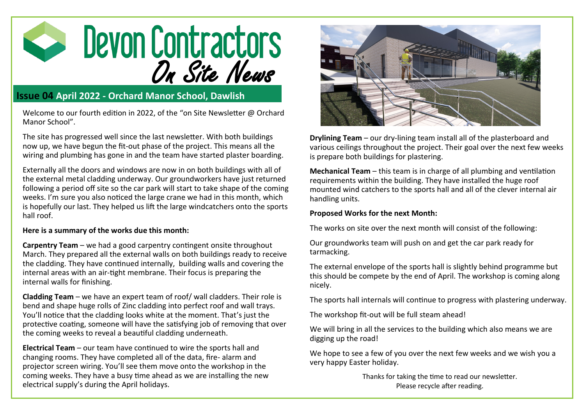

## **Issue 04 April 2022 - Orchard Manor School, Dawlish**

Welcome to our fourth edition in 2022, of the "on Site Newsletter @ Orchard Manor School".

The site has progressed well since the last newsletter. With both buildings now up, we have begun the fit-out phase of the project. This means all the wiring and plumbing has gone in and the team have started plaster boarding.

Externally all the doors and windows are now in on both buildings with all of the external metal cladding underway. Our groundworkers have just returned following a period off site so the car park will start to take shape of the coming weeks. I'm sure you also noticed the large crane we had in this month, which is hopefully our last. They helped us lift the large windcatchers onto the sports hall roof.

## **Here is a summary of the works due this month:**

**Carpentry Team** – we had a good carpentry contingent onsite throughout March. They prepared all the external walls on both buildings ready to receive the cladding. They have continued internally, building walls and covering the internal areas with an air-tight membrane. Their focus is preparing the internal walls for finishing.

**Cladding Team** – we have an expert team of roof/ wall cladders. Their role is bend and shape huge rolls of Zinc cladding into perfect roof and wall trays. You'll notice that the cladding looks white at the moment. That's just the protective coating, someone will have the satisfying job of removing that over the coming weeks to reveal a beautiful cladding underneath.

**Electrical Team** – our team have continued to wire the sports hall and changing rooms. They have completed all of the data, fire- alarm and projector screen wiring. You'll see them move onto the workshop in the coming weeks. They have a busy time ahead as we are installing the new electrical supply's during the April holidays.



**Drylining Team** – our dry-lining team install all of the plasterboard and various ceilings throughout the project. Their goal over the next few weeks is prepare both buildings for plastering.

**Mechanical Team** – this team is in charge of all plumbing and ventilation requirements within the building. They have installed the huge roof mounted wind catchers to the sports hall and all of the clever internal air handling units.

## **Proposed Works for the next Month:**

The works on site over the next month will consist of the following:

Our groundworks team will push on and get the car park ready for tarmacking.

The external envelope of the sports hall is slightly behind programme but this should be compete by the end of April. The workshop is coming along nicely.

The sports hall internals will continue to progress with plastering underway.

The workshop fit-out will be full steam ahead!

We will bring in all the services to the building which also means we are digging up the road!

We hope to see a few of you over the next few weeks and we wish you a very happy Easter holiday.

> Thanks for taking the time to read our newsletter. Please recycle after reading.